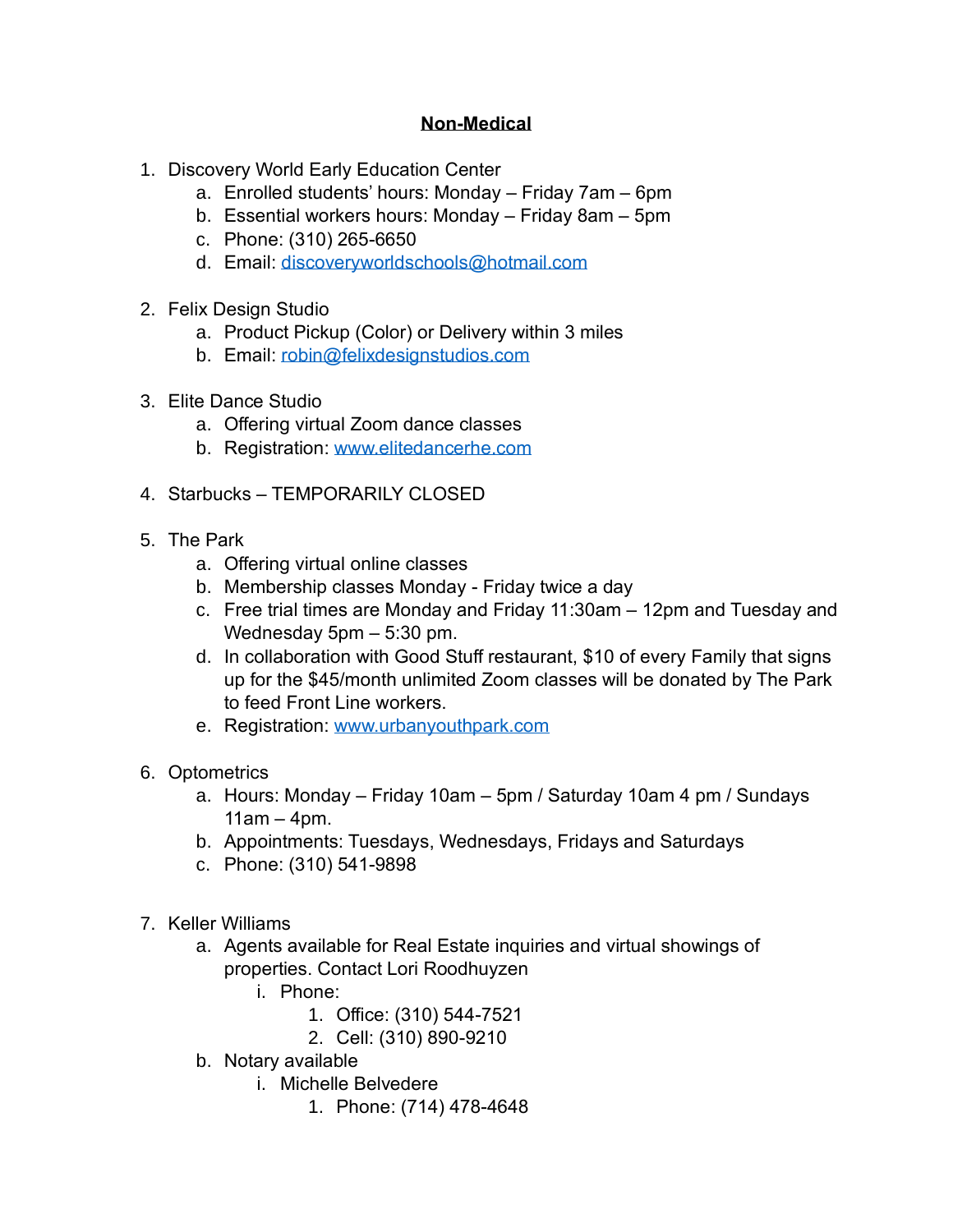## **Non-Medical**

- 1. Discovery World Early Education Center
	- a. Enrolled students' hours: Monday Friday 7am 6pm
	- b. Essential workers hours: Monday Friday 8am 5pm
	- c. Phone: (310) 265-6650
	- d. Email: [discoveryworldschools@hotmail.com](about:blank)
- 2. Felix Design Studio
	- a. Product Pickup (Color) or Delivery within 3 miles
	- b. Email: [robin@felixdesignstudios.com](about:blank)
- 3. Elite Dance Studio
	- a. Offering virtual Zoom dance classes
	- b. Registration: [www.elitedancerhe.com](about:blank)
- 4. Starbucks TEMPORARILY CLOSED
- 5. The Park
	- a. Offering virtual online classes
	- b. Membership classes Monday Friday twice a day
	- c. Free trial times are Monday and Friday 11:30am 12pm and Tuesday and Wednesday 5pm – 5:30 pm.
	- d. In collaboration with Good Stuff restaurant, \$10 of every Family that signs up for the \$45/month unlimited Zoom classes will be donated by The Park to feed Front Line workers.
	- e. Registration: [www.urbanyouthpark.com](about:blank)
- 6. Optometrics
	- a. Hours: Monday Friday 10am 5pm / Saturday 10am 4 pm / Sundays  $11am - 4pm.$
	- b. Appointments: Tuesdays, Wednesdays, Fridays and Saturdays
	- c. Phone: (310) 541-9898
- 7. Keller Williams
	- a. Agents available for Real Estate inquiries and virtual showings of properties. Contact Lori Roodhuyzen
		- i. Phone:
			- 1. Office: (310) 544-7521
			- 2. Cell: (310) 890-9210
	- b. Notary available
		- i. Michelle Belvedere
			- 1. Phone: (714) 478-4648